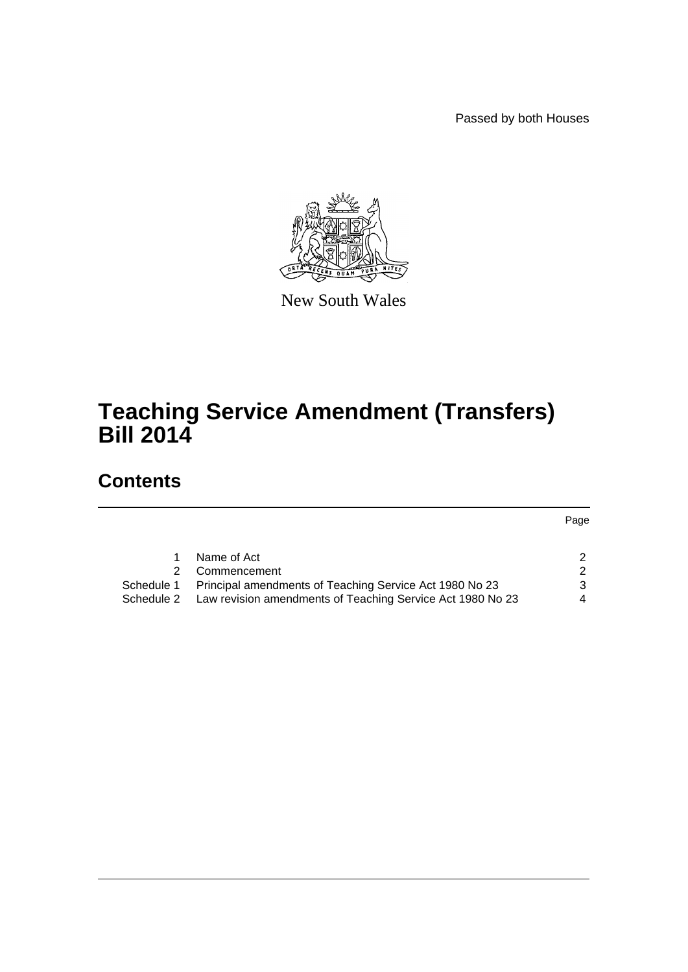Passed by both Houses



New South Wales

# **Teaching Service Amendment (Transfers) Bill 2014**

## **Contents**

Page

| Name of Act                                                              |    |
|--------------------------------------------------------------------------|----|
| 2 Commencement                                                           | 2  |
| Principal amendments of Teaching Service Act 1980 No 23                  | 3. |
| Law revision amendments of Teaching Service Act 1980 No 23<br>Schedule 2 | 4  |
|                                                                          |    |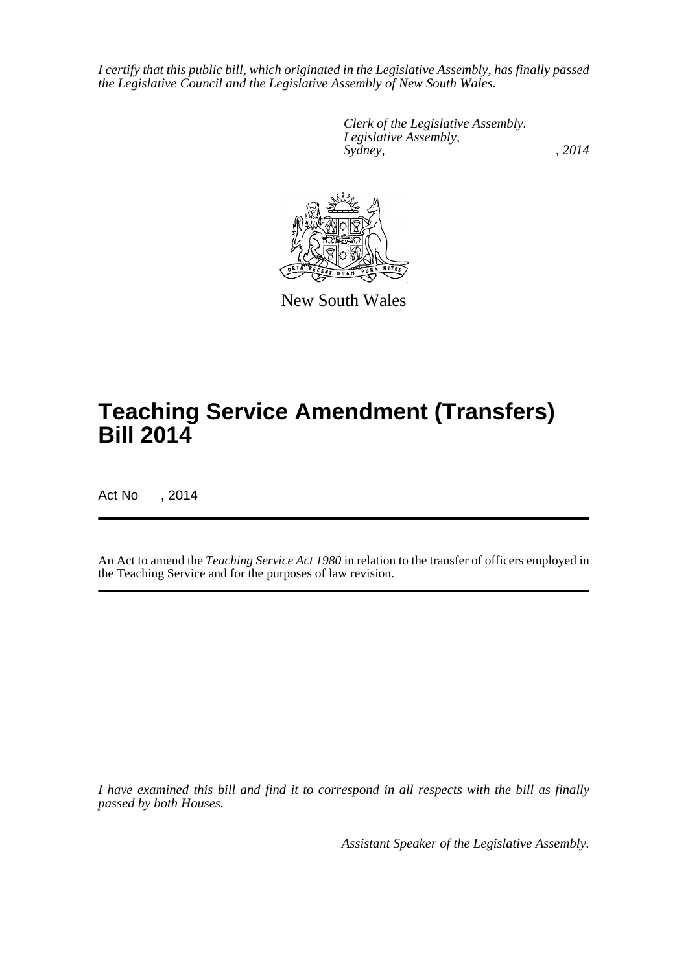*I certify that this public bill, which originated in the Legislative Assembly, has finally passed the Legislative Council and the Legislative Assembly of New South Wales.*

> *Clerk of the Legislative Assembly. Legislative Assembly, Sydney,* , 2014



New South Wales

# **Teaching Service Amendment (Transfers) Bill 2014**

Act No , 2014

An Act to amend the *Teaching Service Act 1980* in relation to the transfer of officers employed in the Teaching Service and for the purposes of law revision.

*I have examined this bill and find it to correspond in all respects with the bill as finally passed by both Houses.*

*Assistant Speaker of the Legislative Assembly.*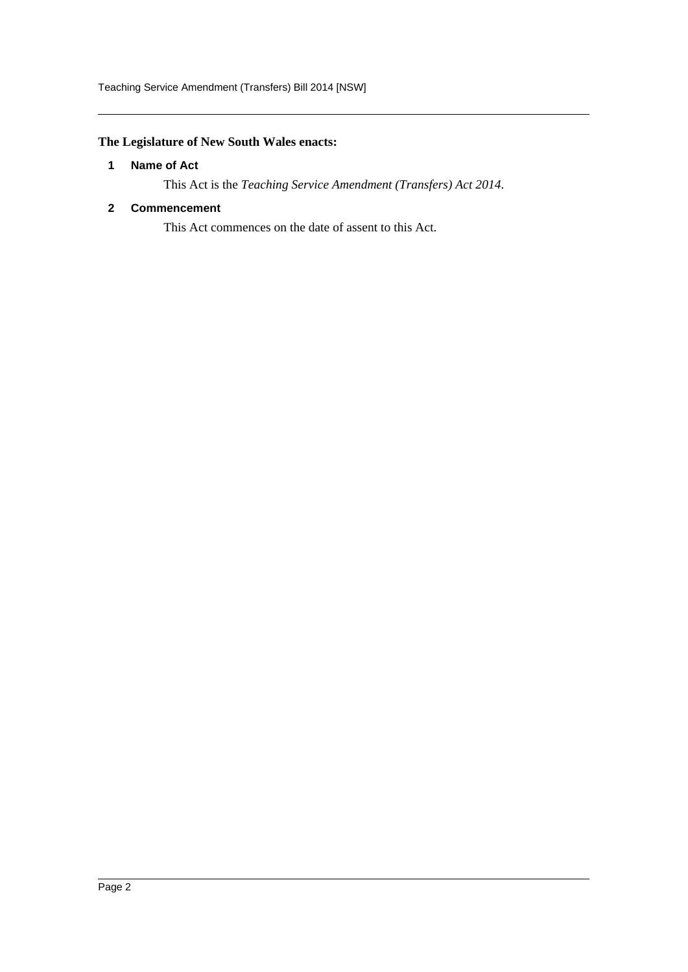Teaching Service Amendment (Transfers) Bill 2014 [NSW]

### <span id="page-2-0"></span>**The Legislature of New South Wales enacts:**

#### **1 Name of Act**

This Act is the *Teaching Service Amendment (Transfers) Act 2014*.

#### <span id="page-2-1"></span>**2 Commencement**

This Act commences on the date of assent to this Act.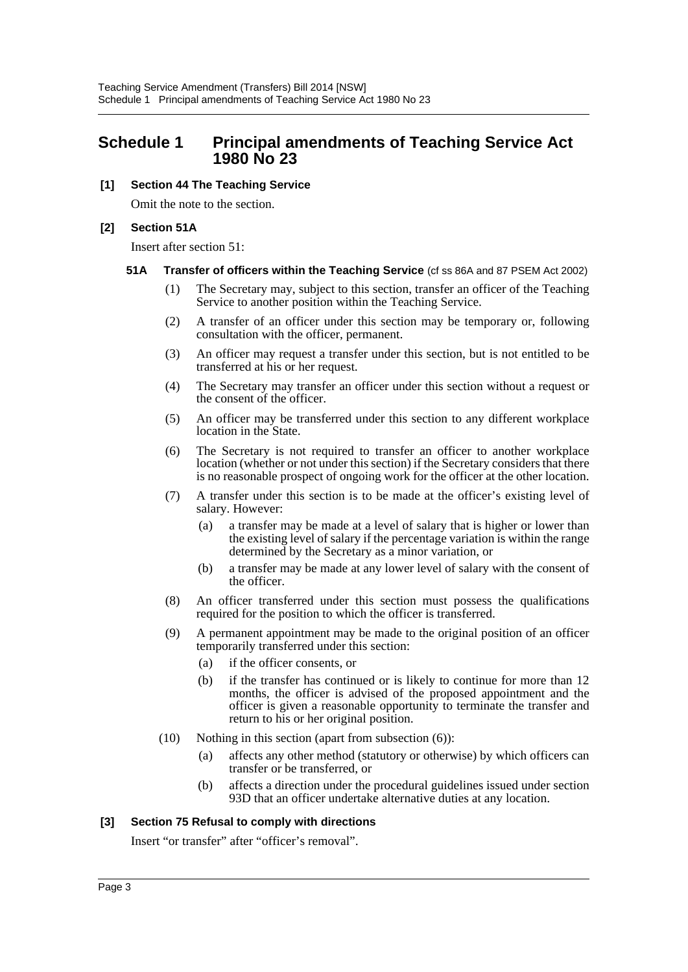### <span id="page-3-0"></span>**Schedule 1 Principal amendments of Teaching Service Act 1980 No 23**

#### **[1] Section 44 The Teaching Service**

Omit the note to the section.

#### **[2] Section 51A**

Insert after section 51:

#### **51A Transfer of officers within the Teaching Service** (cf ss 86A and 87 PSEM Act 2002)

- (1) The Secretary may, subject to this section, transfer an officer of the Teaching Service to another position within the Teaching Service.
- (2) A transfer of an officer under this section may be temporary or, following consultation with the officer, permanent.
- (3) An officer may request a transfer under this section, but is not entitled to be transferred at his or her request.
- (4) The Secretary may transfer an officer under this section without a request or the consent of the officer.
- (5) An officer may be transferred under this section to any different workplace location in the State.
- (6) The Secretary is not required to transfer an officer to another workplace location (whether or not under this section) if the Secretary considers that there is no reasonable prospect of ongoing work for the officer at the other location.
- (7) A transfer under this section is to be made at the officer's existing level of salary. However:
	- (a) a transfer may be made at a level of salary that is higher or lower than the existing level of salary if the percentage variation is within the range determined by the Secretary as a minor variation, or
	- (b) a transfer may be made at any lower level of salary with the consent of the officer.
- (8) An officer transferred under this section must possess the qualifications required for the position to which the officer is transferred.
- (9) A permanent appointment may be made to the original position of an officer temporarily transferred under this section:
	- (a) if the officer consents, or
	- (b) if the transfer has continued or is likely to continue for more than 12 months, the officer is advised of the proposed appointment and the officer is given a reasonable opportunity to terminate the transfer and return to his or her original position.
- (10) Nothing in this section (apart from subsection (6)):
	- (a) affects any other method (statutory or otherwise) by which officers can transfer or be transferred, or
	- (b) affects a direction under the procedural guidelines issued under section 93D that an officer undertake alternative duties at any location.

#### **[3] Section 75 Refusal to comply with directions**

Insert "or transfer" after "officer's removal".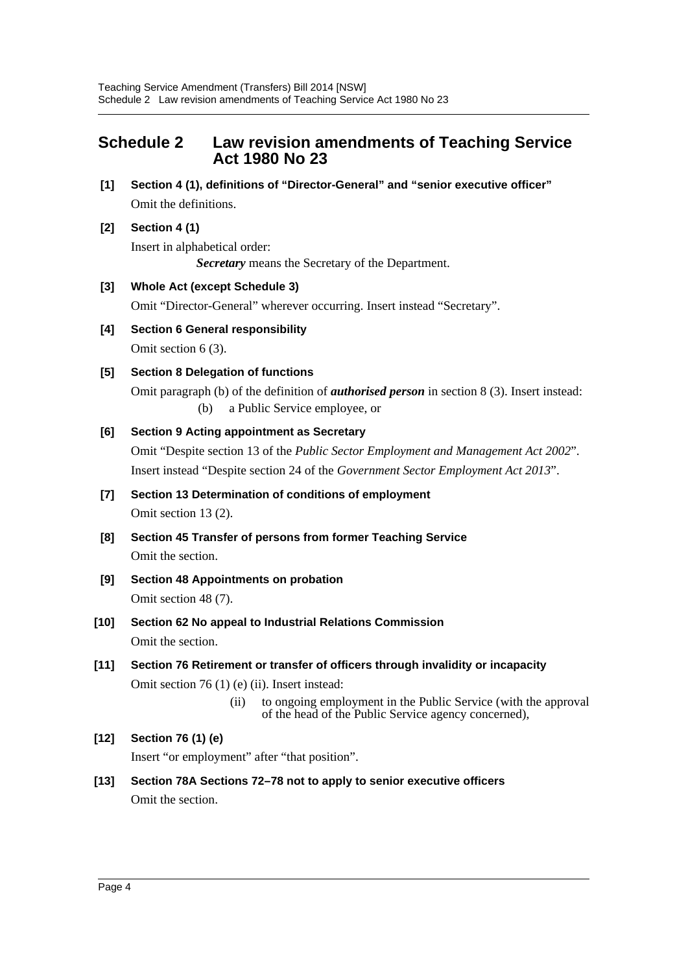## <span id="page-4-0"></span>**Schedule 2 Law revision amendments of Teaching Service Act 1980 No 23**

- **[1] Section 4 (1), definitions of "Director-General" and "senior executive officer"** Omit the definitions.
- **[2] Section 4 (1)**

Insert in alphabetical order: *Secretary* means the Secretary of the Department.

#### **[3] Whole Act (except Schedule 3)**

Omit "Director-General" wherever occurring. Insert instead "Secretary".

- **[4] Section 6 General responsibility** Omit section 6 (3).
- **[5] Section 8 Delegation of functions**

Omit paragraph (b) of the definition of *authorised person* in section 8 (3). Insert instead: (b) a Public Service employee, or

#### **[6] Section 9 Acting appointment as Secretary**

Omit "Despite section 13 of the *Public Sector Employment and Management Act 2002*". Insert instead "Despite section 24 of the *Government Sector Employment Act 2013*".

- **[7] Section 13 Determination of conditions of employment** Omit section 13 (2).
- **[8] Section 45 Transfer of persons from former Teaching Service** Omit the section.
- **[9] Section 48 Appointments on probation** Omit section 48 (7).
- **[10] Section 62 No appeal to Industrial Relations Commission** Omit the section.
- **[11] Section 76 Retirement or transfer of officers through invalidity or incapacity** Omit section 76 (1) (e) (ii). Insert instead:
	- (ii) to ongoing employment in the Public Service (with the approval of the head of the Public Service agency concerned),
- **[12] Section 76 (1) (e)**

Insert "or employment" after "that position".

**[13] Section 78A Sections 72–78 not to apply to senior executive officers** Omit the section.